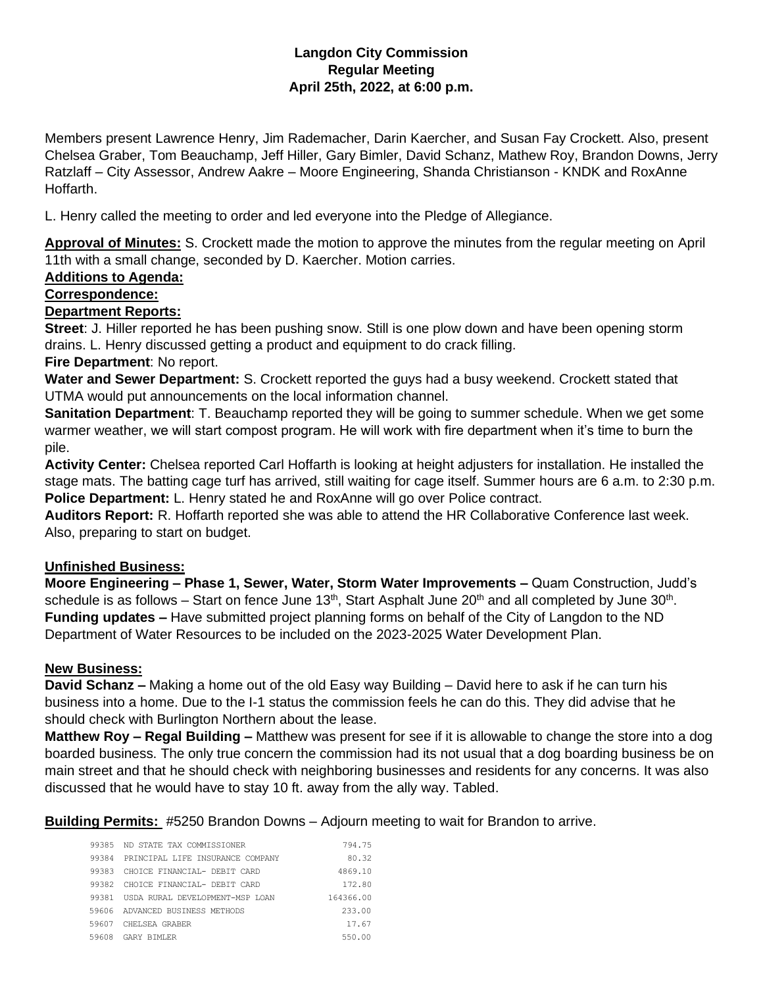# **Langdon City Commission Regular Meeting April 25th, 2022, at 6:00 p.m.**

Members present Lawrence Henry, Jim Rademacher, Darin Kaercher, and Susan Fay Crockett. Also, present Chelsea Graber, Tom Beauchamp, Jeff Hiller, Gary Bimler, David Schanz, Mathew Roy, Brandon Downs, Jerry Ratzlaff – City Assessor, Andrew Aakre – Moore Engineering, Shanda Christianson - KNDK and RoxAnne Hoffarth.

L. Henry called the meeting to order and led everyone into the Pledge of Allegiance.

**Approval of Minutes:** S. Crockett made the motion to approve the minutes from the regular meeting on April 11th with a small change, seconded by D. Kaercher. Motion carries.

# **Additions to Agenda:**

### **Correspondence:**

### **Department Reports:**

**Street**: J. Hiller reported he has been pushing snow. Still is one plow down and have been opening storm drains. L. Henry discussed getting a product and equipment to do crack filling.

# **Fire Department**: No report.

**Water and Sewer Department:** S. Crockett reported the guys had a busy weekend. Crockett stated that UTMA would put announcements on the local information channel.

**Sanitation Department**: T. Beauchamp reported they will be going to summer schedule. When we get some warmer weather, we will start compost program. He will work with fire department when it's time to burn the pile.

**Activity Center:** Chelsea reported Carl Hoffarth is looking at height adjusters for installation. He installed the stage mats. The batting cage turf has arrived, still waiting for cage itself. Summer hours are 6 a.m. to 2:30 p.m. **Police Department:** L. Henry stated he and RoxAnne will go over Police contract.

**Auditors Report:** R. Hoffarth reported she was able to attend the HR Collaborative Conference last week. Also, preparing to start on budget.

### **Unfinished Business:**

**Moore Engineering – Phase 1, Sewer, Water, Storm Water Improvements –** Quam Construction, Judd's schedule is as follows – Start on fence June 13<sup>th</sup>, Start Asphalt June 20<sup>th</sup> and all completed by June 30<sup>th</sup>. **Funding updates –** Have submitted project planning forms on behalf of the City of Langdon to the ND Department of Water Resources to be included on the 2023-2025 Water Development Plan.

### **New Business:**

**David Schanz –** Making a home out of the old Easy way Building – David here to ask if he can turn his business into a home. Due to the I-1 status the commission feels he can do this. They did advise that he should check with Burlington Northern about the lease.

**Matthew Roy – Regal Building –** Matthew was present for see if it is allowable to change the store into a dog boarded business. The only true concern the commission had its not usual that a dog boarding business be on main street and that he should check with neighboring businesses and residents for any concerns. It was also discussed that he would have to stay 10 ft. away from the ally way. Tabled.

**Building Permits:** #5250 Brandon Downs – Adjourn meeting to wait for Brandon to arrive.

| 99385 | ND STATE TAX COMMISSIONER        | 794.75    |
|-------|----------------------------------|-----------|
| 99384 | PRINCIPAL LIFE INSURANCE COMPANY | 80.32     |
| 99383 | CHOICE FINANCIAL- DEBIT CARD     | 4869.10   |
| 99382 | CHOICE FINANCIAL- DEBIT CARD     | 172.80    |
| 99381 | USDA RURAL DEVELOPMENT-MSP LOAN  | 164366.00 |
|       | 59606 ADVANCED BUSINESS METHODS  | 233.00    |
| 59607 | CHELSEA GRABER                   | 17.67     |
| 59608 | GARY RIMLER                      | 550.00    |